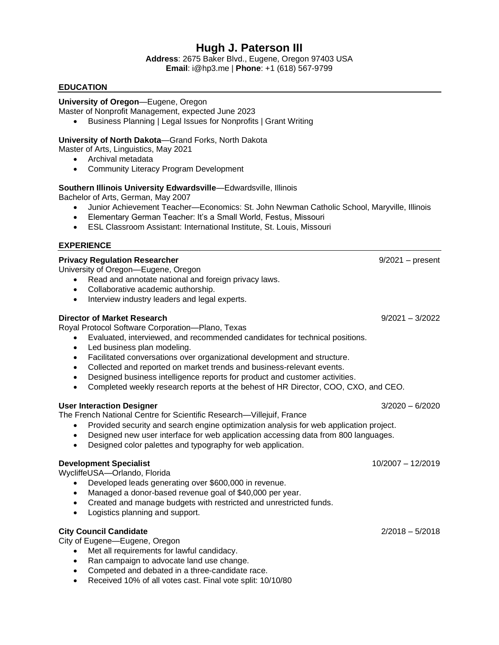# **Hugh J. Paterson III**

**Address**: 2675 Baker Blvd., Eugene, Oregon 97403 USA **Email**: i@hp3.me | **Phone**: +1 (618) 567-9799

## **EDUCATION**

## **University of Oregon***—*Eugene, Oregon

Master of Nonprofit Management, expected June 2023

• Business Planning | Legal Issues for Nonprofits | Grant Writing

## **University of North Dakota***—*Grand Forks, North Dakota

Master of Arts, Linguistics, May 2021

- Archival metadata
- Community Literacy Program Development

## **Southern Illinois University Edwardsville***—*Edwardsville, Illinois

Bachelor of Arts, German, May 2007

- Junior Achievement Teacher*—*Economics: St. John Newman Catholic School, Maryville, Illinois
- Elementary German Teacher: It's a Small World, Festus, Missouri
- ESL Classroom Assistant: International Institute, St. Louis, Missouri

## **EXPERIENCE**

## **Privacy Regulation Researcher** 9/2021 – present

University of Oregon*—*Eugene, Oregon

- Read and annotate national and foreign privacy laws.
- Collaborative academic authorship.
- Interview industry leaders and legal experts.

## **Director of Market Research** 9/2021 – 3/2022

Royal Protocol Software Corporation*—*Plano, Texas

- Evaluated, interviewed, and recommended candidates for technical positions.
- Led business plan modeling.
- Facilitated conversations over organizational development and structure.
- Collected and reported on market trends and business-relevant events.
- Designed business intelligence reports for product and customer activities.
- Completed weekly research reports at the behest of HR Director, COO, CXO, and CEO.

## **User Interaction Designer** 3/2020 – 6/2020

The French National Centre for Scientific Research*—*Villejuif, France

- Provided security and search engine optimization analysis for web application project.
- Designed new user interface for web application accessing data from 800 languages.
- Designed color palettes and typography for web application.

## **Development Specialist** 10/2007 – 12/2019

WycliffeUSA*—*Orlando, Florida

- Developed leads generating over \$600,000 in revenue.
- Managed a donor-based revenue goal of \$40,000 per year.
- Created and manage budgets with restricted and unrestricted funds.
- Logistics planning and support.

## **City Council Candidate** 2/2018 – 5/2018

City of Eugene*—*Eugene, Oregon

- Met all requirements for lawful candidacy.
- Ran campaign to advocate land use change.
- Competed and debated in a three-candidate race.
- Received 10% of all votes cast. Final vote split: 10/10/80